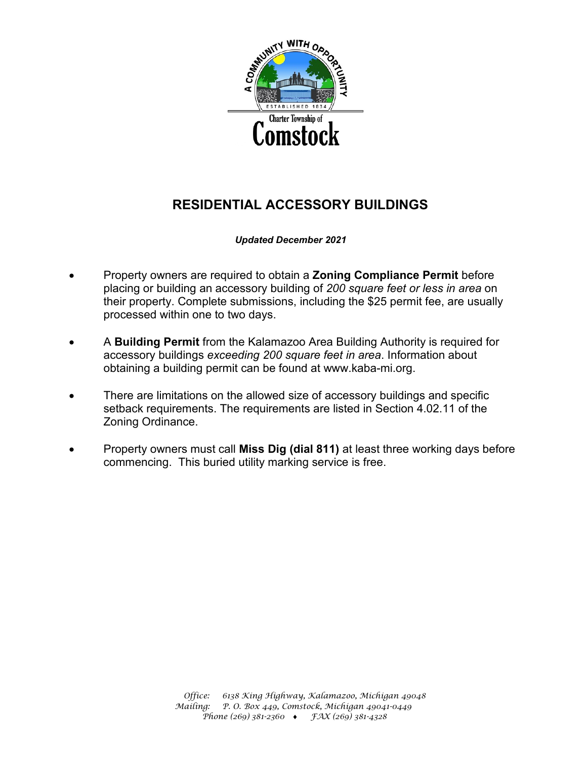

# **RESIDENTIAL ACCESSORY BUILDINGS**

 *Updated December 2021*

- Property owners are required to obtain a **Zoning Compliance Permit** before placing or building an accessory building of *200 square feet or less in area* on their property. Complete submissions, including the \$25 permit fee, are usually processed within one to two days.
- A **Building Permit** from the Kalamazoo Area Building Authority is required for accessory buildings *exceeding 200 square feet in area*. Information about obtaining a building permit can be found at www.kaba-mi.org.
- There are limitations on the allowed size of accessory buildings and specific setback requirements. The requirements are listed in Section 4.02.11 of the Zoning Ordinance.
- Property owners must call **Miss Dig (dial 811)** at least three working days before commencing. This buried utility marking service is free.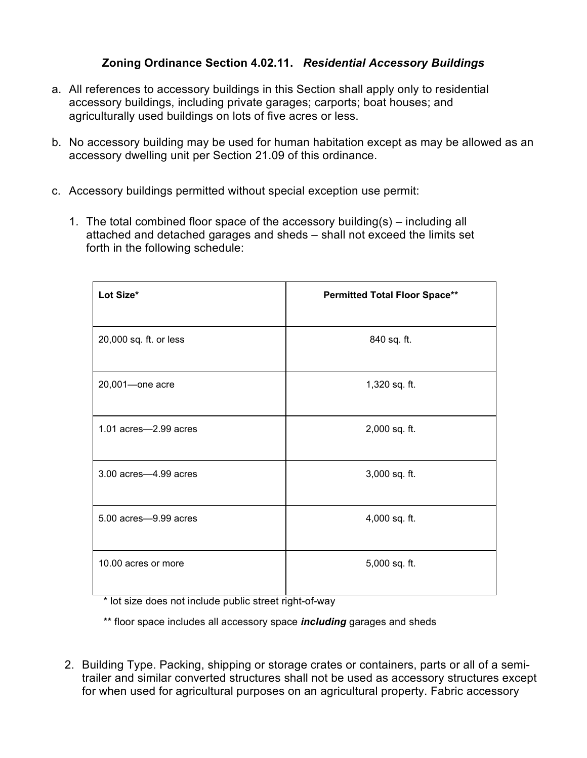## **Zoning Ordinance Section 4.02.11.** *Residential Accessory Buildings*

- a. All references to accessory buildings in this Section shall apply only to residential accessory buildings, including private garages; carports; boat houses; and agriculturally used buildings on lots of five acres or less.
- b. No accessory building may be used for human habitation except as may be allowed as an accessory dwelling unit per Section 21.09 of this ordinance.
- c. Accessory buildings permitted without special exception use permit:
	- 1. The total combined floor space of the accessory building(s) including all attached and detached garages and sheds – shall not exceed the limits set forth in the following schedule:

| Lot Size*                  | <b>Permitted Total Floor Space**</b> |
|----------------------------|--------------------------------------|
| 20,000 sq. ft. or less     | 840 sq. ft.                          |
| 20,001-one acre            | 1,320 sq. ft.                        |
| $1.01$ acres $-2.99$ acres | 2,000 sq. ft.                        |
| 3.00 acres-4.99 acres      | 3,000 sq. ft.                        |
| 5.00 acres-9.99 acres      | 4,000 sq. ft.                        |
| 10.00 acres or more        | 5,000 sq. ft.                        |

\* lot size does not include public street right-of-way

\*\* floor space includes all accessory space *including* garages and sheds

2. Building Type. Packing, shipping or storage crates or containers, parts or all of a semitrailer and similar converted structures shall not be used as accessory structures except for when used for agricultural purposes on an agricultural property. Fabric accessory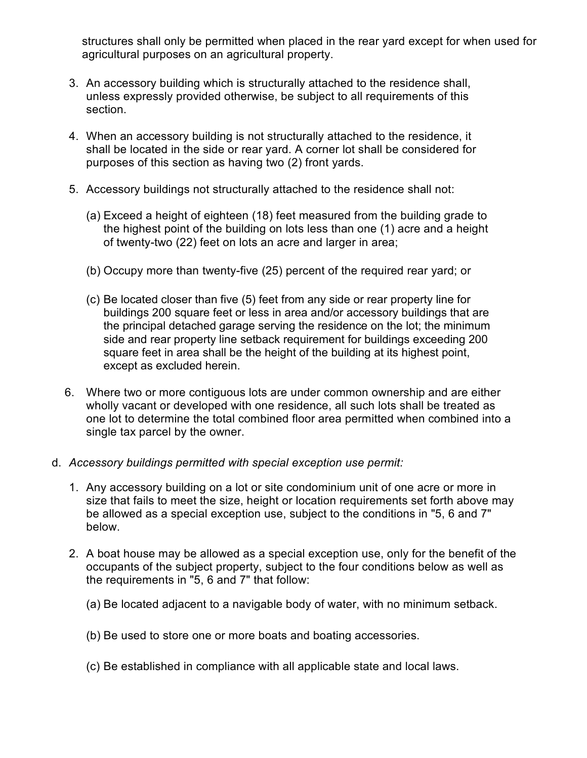structures shall only be permitted when placed in the rear yard except for when used for agricultural purposes on an agricultural property.

- 3. An accessory building which is structurally attached to the residence shall, unless expressly provided otherwise, be subject to all requirements of this section.
- 4. When an accessory building is not structurally attached to the residence, it shall be located in the side or rear yard. A corner lot shall be considered for purposes of this section as having two (2) front yards.
- 5. Accessory buildings not structurally attached to the residence shall not:
	- (a) Exceed a height of eighteen (18) feet measured from the building grade to the highest point of the building on lots less than one (1) acre and a height of twenty-two (22) feet on lots an acre and larger in area;
	- (b) Occupy more than twenty-five (25) percent of the required rear yard; or
	- (c) Be located closer than five (5) feet from any side or rear property line for buildings 200 square feet or less in area and/or accessory buildings that are the principal detached garage serving the residence on the lot; the minimum side and rear property line setback requirement for buildings exceeding 200 square feet in area shall be the height of the building at its highest point, except as excluded herein.
- 6. Where two or more contiguous lots are under common ownership and are either wholly vacant or developed with one residence, all such lots shall be treated as one lot to determine the total combined floor area permitted when combined into a single tax parcel by the owner.
- d. *Accessory buildings permitted with special exception use permit:*
	- 1. Any accessory building on a lot or site condominium unit of one acre or more in size that fails to meet the size, height or location requirements set forth above may be allowed as a special exception use, subject to the conditions in "5, 6 and 7" below.
	- 2. A boat house may be allowed as a special exception use, only for the benefit of the occupants of the subject property, subject to the four conditions below as well as the requirements in "5, 6 and 7" that follow:
		- (a) Be located adjacent to a navigable body of water, with no minimum setback.
		- (b) Be used to store one or more boats and boating accessories.
		- (c) Be established in compliance with all applicable state and local laws.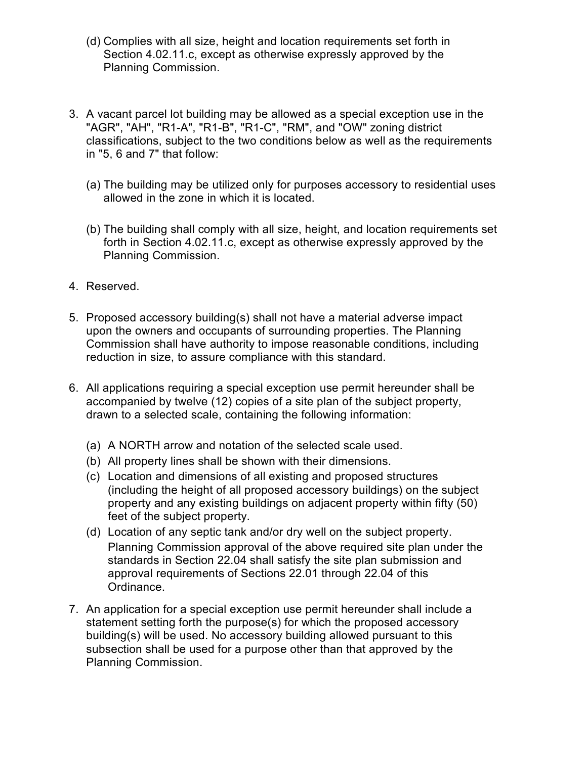- (d) Complies with all size, height and location requirements set forth in Section 4.02.11.c, except as otherwise expressly approved by the Planning Commission.
- 3. A vacant parcel lot building may be allowed as a special exception use in the "AGR", "AH", "R1-A", "R1-B", "R1-C", "RM", and "OW" zoning district classifications, subject to the two conditions below as well as the requirements in "5, 6 and 7" that follow:
	- (a) The building may be utilized only for purposes accessory to residential uses allowed in the zone in which it is located.
	- (b) The building shall comply with all size, height, and location requirements set forth in Section 4.02.11.c, except as otherwise expressly approved by the Planning Commission.
- 4. Reserved.
- 5. Proposed accessory building(s) shall not have a material adverse impact upon the owners and occupants of surrounding properties. The Planning Commission shall have authority to impose reasonable conditions, including reduction in size, to assure compliance with this standard.
- 6. All applications requiring a special exception use permit hereunder shall be accompanied by twelve (12) copies of a site plan of the subject property, drawn to a selected scale, containing the following information:
	- (a) A NORTH arrow and notation of the selected scale used.
	- (b) All property lines shall be shown with their dimensions.
	- (c) Location and dimensions of all existing and proposed structures (including the height of all proposed accessory buildings) on the subject property and any existing buildings on adjacent property within fifty (50) feet of the subject property.
	- (d) Location of any septic tank and/or dry well on the subject property. Planning Commission approval of the above required site plan under the standards in Section 22.04 shall satisfy the site plan submission and approval requirements of Sections 22.01 through 22.04 of this Ordinance.
- 7. An application for a special exception use permit hereunder shall include a statement setting forth the purpose(s) for which the proposed accessory building(s) will be used. No accessory building allowed pursuant to this subsection shall be used for a purpose other than that approved by the Planning Commission.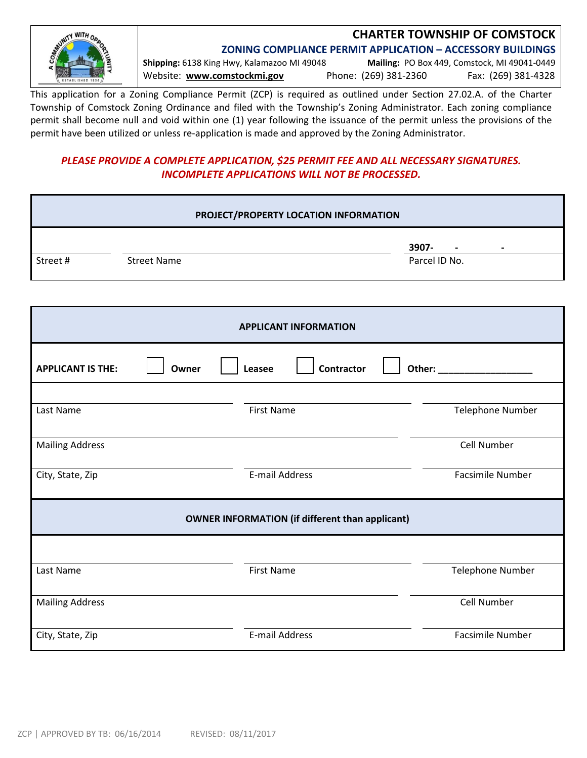

## **CHARTER TOWNSHIP OF COMSTOCK**

**ZONING COMPLIANCE PERMIT APPLICATION – ACCESSORY BUILDINGS**

**Shipping:** 6138 King Hwy, Kalamazoo MI 49048 **Mailing:** PO Box 449, Comstock, MI 49041‐0449 Website: **www.comstockmi.gov** Phone: (269) 381‐2360 Fax: (269) 381‐4328

This application for a Zoning Compliance Permit (ZCP) is required as outlined under Section 27.02.A. of the Charter Township of Comstock Zoning Ordinance and filed with the Township's Zoning Administrator. Each zoning compliance permit shall become null and void within one (1) year following the issuance of the permit unless the provisions of the permit have been utilized or unless re-application is made and approved by the Zoning Administrator.

### *PLEASE PROVIDE A COMPLETE APPLICATION, \$25 PERMIT FEE AND ALL NECESSARY SIGNATURES. INCOMPLETE APPLICATIONS WILL NOT BE PROCESSED.*

|                          |                    | PROJECT/PROPERTY LOCATION INFORMATION                  |                         |
|--------------------------|--------------------|--------------------------------------------------------|-------------------------|
|                          |                    |                                                        | 3907-                   |
| Street#                  | <b>Street Name</b> |                                                        | Parcel ID No.           |
|                          |                    |                                                        |                         |
|                          |                    | <b>APPLICANT INFORMATION</b>                           |                         |
| <b>APPLICANT IS THE:</b> | Owner              | <b>Contractor</b><br>Leasee                            |                         |
|                          |                    |                                                        |                         |
| Last Name                |                    | <b>First Name</b>                                      | Telephone Number        |
| <b>Mailing Address</b>   |                    |                                                        | Cell Number             |
| City, State, Zip         |                    | E-mail Address                                         | <b>Facsimile Number</b> |
|                          |                    | <b>OWNER INFORMATION (if different than applicant)</b> |                         |
|                          |                    |                                                        |                         |
| Last Name                |                    | <b>First Name</b>                                      | Telephone Number        |
| <b>Mailing Address</b>   |                    |                                                        | Cell Number             |

City, State, Zip **E**←mail Address **E**←mail Address **Facsimile Number** Facsimile Number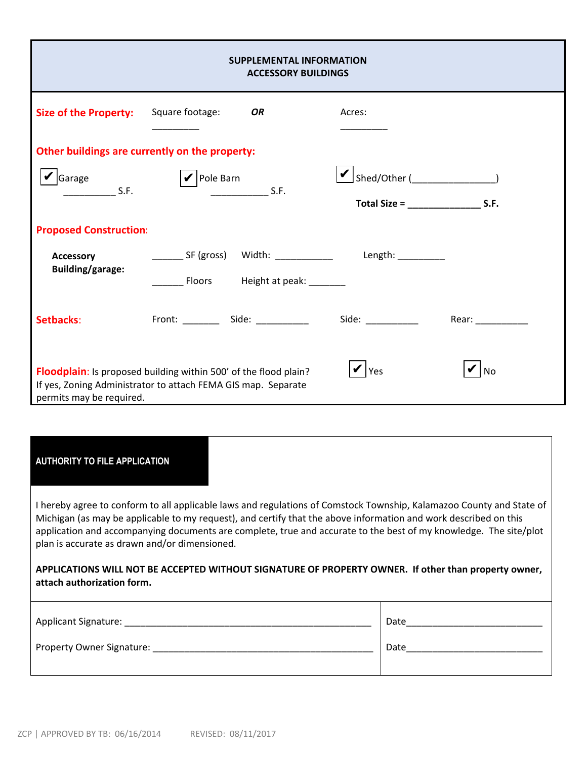| <b>SUPPLEMENTAL INFORMATION</b><br><b>ACCESSORY BUILDINGS</b>                                                                                                                            |                                                                                                   |                                                                                |                    |  |  |  |  |  |  |  |  |  |
|------------------------------------------------------------------------------------------------------------------------------------------------------------------------------------------|---------------------------------------------------------------------------------------------------|--------------------------------------------------------------------------------|--------------------|--|--|--|--|--|--|--|--|--|
| <b>Size of the Property:</b>                                                                                                                                                             | Square footage:<br><b>OR</b>                                                                      | Acres:                                                                         |                    |  |  |  |  |  |  |  |  |  |
|                                                                                                                                                                                          | Other buildings are currently on the property:                                                    |                                                                                |                    |  |  |  |  |  |  |  |  |  |
| Sarage<br>S.F.                                                                                                                                                                           | $ {\boldsymbol \nu} $ Pole Barn<br>$\frac{1}{2}$ S.F.                                             | $\boxed{\smash{\checkmark}}$ Shed/Other ( )<br>Total Size = $\frac{1}{2}$ S.F. |                    |  |  |  |  |  |  |  |  |  |
| <b>Proposed Construction:</b>                                                                                                                                                            |                                                                                                   |                                                                                |                    |  |  |  |  |  |  |  |  |  |
| <b>Accessory</b><br><b>Building/garage:</b>                                                                                                                                              | _________ SF (gross) Width: _______________ Length: ___________<br>Floors Height at peak: _______ |                                                                                |                    |  |  |  |  |  |  |  |  |  |
| Setbacks:                                                                                                                                                                                |                                                                                                   |                                                                                | Rear: ____________ |  |  |  |  |  |  |  |  |  |
| <b>Yes</b><br>Floodplain: Is proposed building within 500' of the flood plain?<br><b>No</b><br>If yes, Zoning Administrator to attach FEMA GIS map. Separate<br>permits may be required. |                                                                                                   |                                                                                |                    |  |  |  |  |  |  |  |  |  |

#### **AUTHORITY TO FILE APPLICATION**

I hereby agree to conform to all applicable laws and regulations of Comstock Township, Kalamazoo County and State of Michigan (as may be applicable to my request), and certify that the above information and work described on this application and accompanying documents are complete, true and accurate to the best of my knowledge. The site/plot plan is accurate as drawn and/or dimensioned.

**APPLICATIONS WILL NOT BE ACCEPTED WITHOUT SIGNATURE OF PROPERTY OWNER. If other than property owner, attach authorization form.** 

| Applicant Signature:      | Date |
|---------------------------|------|
| Property Owner Signature: | Date |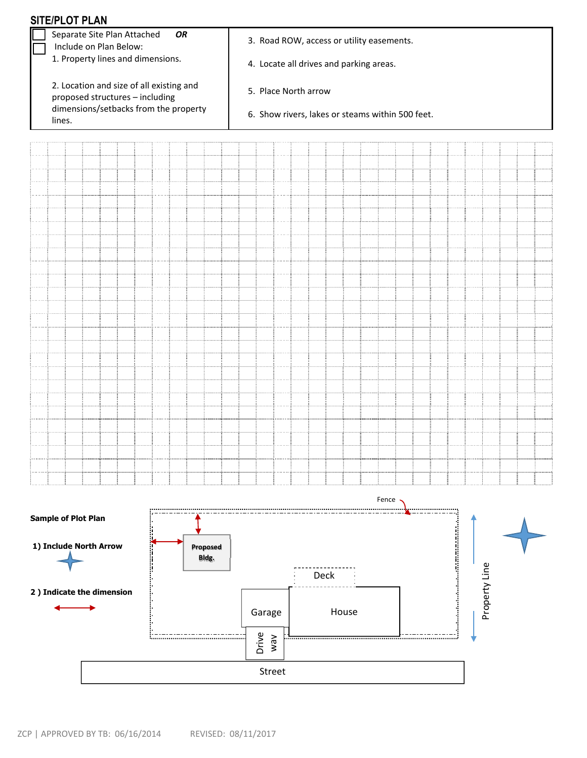|  |                                                             |  | <b>SITE/PLOT PLAN</b>      |                           |                                                                          |    |  |                   |  |                                                  |  |  |  |      |  |  |       |  |  |                                                                                                                        |  |               |  |  |
|--|-------------------------------------------------------------|--|----------------------------|---------------------------|--------------------------------------------------------------------------|----|--|-------------------|--|--------------------------------------------------|--|--|--|------|--|--|-------|--|--|------------------------------------------------------------------------------------------------------------------------|--|---------------|--|--|
|  | Separate Site Plan Attached<br>OR<br>Include on Plan Below: |  |                            |                           | 3. Road ROW, access or utility easements.                                |    |  |                   |  |                                                  |  |  |  |      |  |  |       |  |  |                                                                                                                        |  |               |  |  |
|  |                                                             |  |                            |                           | 1. Property lines and dimensions.                                        |    |  |                   |  | 4. Locate all drives and parking areas.          |  |  |  |      |  |  |       |  |  |                                                                                                                        |  |               |  |  |
|  |                                                             |  |                            |                           |                                                                          |    |  |                   |  |                                                  |  |  |  |      |  |  |       |  |  |                                                                                                                        |  |               |  |  |
|  |                                                             |  |                            |                           |                                                                          |    |  |                   |  |                                                  |  |  |  |      |  |  |       |  |  |                                                                                                                        |  |               |  |  |
|  |                                                             |  |                            |                           | 2. Location and size of all existing and                                 |    |  |                   |  | 5. Place North arrow                             |  |  |  |      |  |  |       |  |  |                                                                                                                        |  |               |  |  |
|  |                                                             |  |                            |                           | proposed structures - including<br>dimensions/setbacks from the property |    |  |                   |  |                                                  |  |  |  |      |  |  |       |  |  |                                                                                                                        |  |               |  |  |
|  | lines.                                                      |  |                            |                           |                                                                          |    |  |                   |  | 6. Show rivers, lakes or steams within 500 feet. |  |  |  |      |  |  |       |  |  |                                                                                                                        |  |               |  |  |
|  |                                                             |  |                            |                           |                                                                          |    |  |                   |  |                                                  |  |  |  |      |  |  |       |  |  |                                                                                                                        |  |               |  |  |
|  |                                                             |  |                            |                           |                                                                          |    |  |                   |  |                                                  |  |  |  |      |  |  |       |  |  |                                                                                                                        |  |               |  |  |
|  |                                                             |  |                            |                           |                                                                          |    |  |                   |  |                                                  |  |  |  |      |  |  |       |  |  |                                                                                                                        |  |               |  |  |
|  |                                                             |  |                            |                           |                                                                          |    |  |                   |  |                                                  |  |  |  |      |  |  |       |  |  |                                                                                                                        |  |               |  |  |
|  |                                                             |  |                            |                           |                                                                          |    |  |                   |  |                                                  |  |  |  |      |  |  |       |  |  |                                                                                                                        |  |               |  |  |
|  |                                                             |  |                            |                           |                                                                          |    |  |                   |  |                                                  |  |  |  |      |  |  |       |  |  |                                                                                                                        |  |               |  |  |
|  |                                                             |  |                            |                           |                                                                          |    |  |                   |  |                                                  |  |  |  |      |  |  |       |  |  |                                                                                                                        |  |               |  |  |
|  |                                                             |  |                            |                           |                                                                          |    |  |                   |  |                                                  |  |  |  |      |  |  |       |  |  |                                                                                                                        |  |               |  |  |
|  |                                                             |  |                            |                           |                                                                          |    |  |                   |  |                                                  |  |  |  |      |  |  |       |  |  |                                                                                                                        |  |               |  |  |
|  |                                                             |  |                            |                           |                                                                          |    |  |                   |  |                                                  |  |  |  |      |  |  |       |  |  |                                                                                                                        |  |               |  |  |
|  |                                                             |  |                            |                           |                                                                          |    |  |                   |  |                                                  |  |  |  |      |  |  |       |  |  |                                                                                                                        |  |               |  |  |
|  |                                                             |  |                            |                           |                                                                          |    |  |                   |  |                                                  |  |  |  |      |  |  |       |  |  |                                                                                                                        |  |               |  |  |
|  |                                                             |  |                            |                           |                                                                          |    |  |                   |  |                                                  |  |  |  |      |  |  |       |  |  |                                                                                                                        |  |               |  |  |
|  |                                                             |  |                            |                           |                                                                          |    |  |                   |  |                                                  |  |  |  |      |  |  |       |  |  |                                                                                                                        |  |               |  |  |
|  |                                                             |  |                            |                           |                                                                          |    |  |                   |  |                                                  |  |  |  |      |  |  |       |  |  |                                                                                                                        |  |               |  |  |
|  |                                                             |  |                            |                           |                                                                          |    |  |                   |  |                                                  |  |  |  |      |  |  |       |  |  |                                                                                                                        |  |               |  |  |
|  |                                                             |  |                            |                           |                                                                          |    |  |                   |  |                                                  |  |  |  |      |  |  |       |  |  |                                                                                                                        |  |               |  |  |
|  |                                                             |  |                            |                           |                                                                          |    |  |                   |  |                                                  |  |  |  |      |  |  |       |  |  |                                                                                                                        |  |               |  |  |
|  |                                                             |  |                            |                           |                                                                          |    |  |                   |  |                                                  |  |  |  |      |  |  |       |  |  |                                                                                                                        |  |               |  |  |
|  |                                                             |  |                            |                           |                                                                          |    |  |                   |  |                                                  |  |  |  |      |  |  |       |  |  |                                                                                                                        |  |               |  |  |
|  |                                                             |  |                            |                           |                                                                          |    |  |                   |  |                                                  |  |  |  |      |  |  |       |  |  |                                                                                                                        |  |               |  |  |
|  |                                                             |  |                            |                           |                                                                          |    |  |                   |  |                                                  |  |  |  |      |  |  |       |  |  |                                                                                                                        |  |               |  |  |
|  |                                                             |  |                            |                           |                                                                          |    |  |                   |  |                                                  |  |  |  |      |  |  |       |  |  |                                                                                                                        |  |               |  |  |
|  |                                                             |  |                            |                           |                                                                          |    |  |                   |  |                                                  |  |  |  |      |  |  |       |  |  |                                                                                                                        |  |               |  |  |
|  |                                                             |  |                            |                           |                                                                          |    |  |                   |  |                                                  |  |  |  |      |  |  |       |  |  |                                                                                                                        |  |               |  |  |
|  |                                                             |  |                            |                           |                                                                          |    |  |                   |  |                                                  |  |  |  |      |  |  |       |  |  |                                                                                                                        |  |               |  |  |
|  |                                                             |  |                            |                           |                                                                          |    |  |                   |  |                                                  |  |  |  |      |  |  |       |  |  |                                                                                                                        |  |               |  |  |
|  |                                                             |  |                            |                           |                                                                          |    |  |                   |  |                                                  |  |  |  |      |  |  |       |  |  |                                                                                                                        |  |               |  |  |
|  |                                                             |  |                            |                           |                                                                          |    |  |                   |  |                                                  |  |  |  |      |  |  |       |  |  |                                                                                                                        |  |               |  |  |
|  |                                                             |  |                            |                           |                                                                          |    |  |                   |  |                                                  |  |  |  |      |  |  | Fence |  |  |                                                                                                                        |  |               |  |  |
|  |                                                             |  | <b>Sample of Plot Plan</b> |                           |                                                                          |    |  |                   |  |                                                  |  |  |  |      |  |  |       |  |  |                                                                                                                        |  |               |  |  |
|  |                                                             |  |                            |                           |                                                                          | ÿ. |  |                   |  |                                                  |  |  |  |      |  |  |       |  |  |                                                                                                                        |  |               |  |  |
|  |                                                             |  |                            | 1) Include North Arrow    |                                                                          | я  |  |                   |  |                                                  |  |  |  |      |  |  |       |  |  | <b>Note that the content of the content of the content of the content of the content of the content of the content</b> |  |               |  |  |
|  |                                                             |  |                            |                           |                                                                          |    |  | Proposed<br>Bldg. |  |                                                  |  |  |  |      |  |  |       |  |  |                                                                                                                        |  |               |  |  |
|  |                                                             |  |                            |                           |                                                                          |    |  |                   |  |                                                  |  |  |  |      |  |  |       |  |  |                                                                                                                        |  |               |  |  |
|  |                                                             |  |                            |                           |                                                                          |    |  |                   |  |                                                  |  |  |  | Deck |  |  |       |  |  |                                                                                                                        |  | Property Line |  |  |
|  |                                                             |  |                            | 2) Indicate the dimension |                                                                          |    |  |                   |  |                                                  |  |  |  |      |  |  |       |  |  |                                                                                                                        |  |               |  |  |
|  |                                                             |  |                            | Garage                    |                                                                          |    |  | House             |  |                                                  |  |  |  |      |  |  |       |  |  |                                                                                                                        |  |               |  |  |
|  |                                                             |  |                            |                           |                                                                          |    |  |                   |  |                                                  |  |  |  |      |  |  |       |  |  |                                                                                                                        |  |               |  |  |





Street